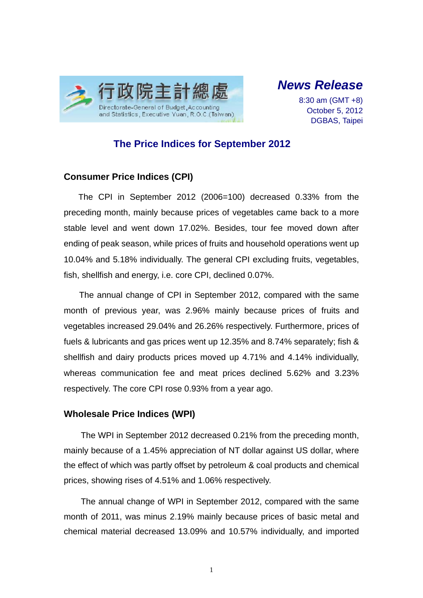

*News Release* 

8:30 am (GMT +8) October 5, 2012 DGBAS, Taipei

## **The Price Indices for September 2012**

### **Consumer Price Indices (CPI)**

The CPI in September 2012 (2006=100) decreased 0.33% from the preceding month, mainly because prices of vegetables came back to a more stable level and went down 17.02%. Besides, tour fee moved down after ending of peak season, while prices of fruits and household operations went up 10.04% and 5.18% individually. The general CPI excluding fruits, vegetables, fish, shellfish and energy, i.e. core CPI, declined 0.07%.

The annual change of CPI in September 2012, compared with the same month of previous year, was 2.96% mainly because prices of fruits and vegetables increased 29.04% and 26.26% respectively. Furthermore, prices of fuels & lubricants and gas prices went up 12.35% and 8.74% separately; fish & shellfish and dairy products prices moved up 4.71% and 4.14% individually, whereas communication fee and meat prices declined 5.62% and 3.23% respectively. The core CPI rose 0.93% from a year ago.

### **Wholesale Price Indices (WPI)**

The WPI in September 2012 decreased 0.21% from the preceding month, mainly because of a 1.45% appreciation of NT dollar against US dollar, where the effect of which was partly offset by petroleum & coal products and chemical prices, showing rises of 4.51% and 1.06% respectively.

The annual change of WPI in September 2012, compared with the same month of 2011, was minus 2.19% mainly because prices of basic metal and chemical material decreased 13.09% and 10.57% individually, and imported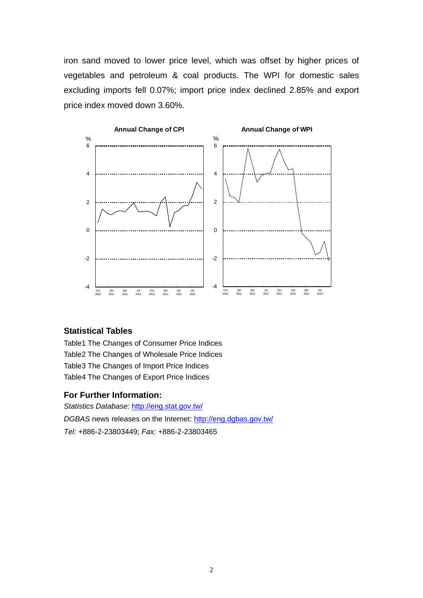iron sand moved to lower price level, which was offset by higher prices of vegetables and petroleum & coal products. The WPI for domestic sales excluding imports fell 0.07%; import price index declined 2.85% and export price index moved down 3.60%.



### **Statistical Tables**

Table1 The Changes of Consumer Price Indices Table2 The Changes of Wholesale Price Indices Table3 The Changes of Import Price Indices Table4 The Changes of Export Price Indices

#### **For Further Information:**

*Statistics Database:* http://eng.stat.gov.tw/ *DGBAS* news releases on the Internet: http://eng.dgbas.gov.tw/ *Tel:* +886-2-23803449; *Fax:* +886-2-23803465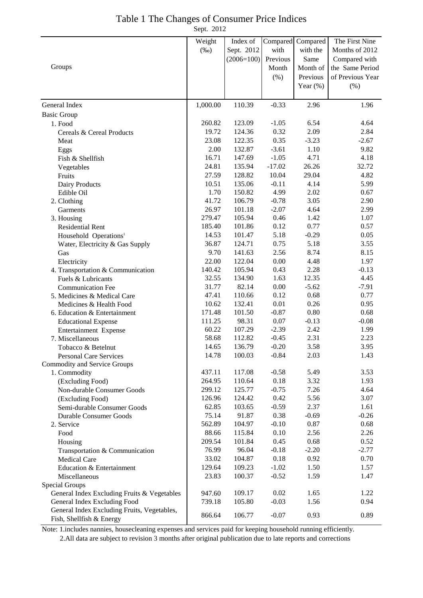## Table 1 The Changes of Consumer Price Indices

Sept. 2012

|                                             | Weight   | Index of     | Compared | Compared    | The First Nine   |
|---------------------------------------------|----------|--------------|----------|-------------|------------------|
|                                             | $(\%0)$  | Sept. 2012   | with     | with the    | Months of 2012   |
|                                             |          | $(2006=100)$ | Previous | Same        | Compared with    |
| Groups                                      |          |              | Month    | Month of    | the Same Period  |
|                                             |          |              | $(\% )$  | Previous    | of Previous Year |
|                                             |          |              |          | Year $(\%)$ | (%)              |
| General Index                               | 1,000.00 | 110.39       | $-0.33$  | 2.96        | 1.96             |
| <b>Basic Group</b>                          |          |              |          |             |                  |
| 1. Food                                     | 260.82   | 123.09       | $-1.05$  | 6.54        | 4.64             |
| Cereals & Cereal Products                   | 19.72    | 124.36       | 0.32     | 2.09        | 2.84             |
| Meat                                        | 23.08    | 122.35       | 0.35     | $-3.23$     | $-2.67$          |
| Eggs                                        | 2.00     | 132.87       | $-3.61$  | 1.10        | 9.82             |
| Fish & Shellfish                            | 16.71    | 147.69       | $-1.05$  | 4.71        | 4.18             |
| Vegetables                                  | 24.81    | 135.94       | $-17.02$ | 26.26       | 32.72            |
| Fruits                                      | 27.59    | 128.82       | 10.04    | 29.04       | 4.82             |
| Dairy Products                              | 10.51    | 135.06       | $-0.11$  | 4.14        | 5.99             |
| Edible Oil                                  | 1.70     | 150.82       | 4.99     | 2.02        | 0.67             |
| 2. Clothing                                 | 41.72    | 106.79       | $-0.78$  | 3.05        | 2.90             |
| Garments                                    | 26.97    | 101.18       | $-2.07$  | 4.64        | 2.99             |
| 3. Housing                                  | 279.47   | 105.94       | 0.46     | 1.42        | 1.07             |
| <b>Residential Rent</b>                     | 185.40   | 101.86       | 0.12     | 0.77        | 0.57             |
| Household Operations <sup>1</sup>           | 14.53    | 101.47       | 5.18     | $-0.29$     | 0.05             |
| Water, Electricity & Gas Supply             | 36.87    | 124.71       | 0.75     | 5.18        | 3.55             |
| Gas                                         | 9.70     | 141.63       | 2.56     | 8.74        | 8.15             |
| Electricity                                 | 22.00    | 122.04       | 0.00     | 4.48        | 1.97             |
| 4. Transportation & Communication           | 140.42   | 105.94       | 0.43     | 2.28        | $-0.13$          |
| Fuels & Lubricants                          | 32.55    | 134.90       | 1.63     | 12.35       | 4.45             |
| <b>Communication Fee</b>                    | 31.77    | 82.14        | 0.00     | $-5.62$     | $-7.91$          |
| 5. Medicines & Medical Care                 | 47.41    | 110.66       | 0.12     | 0.68        | 0.77             |
| Medicines & Health Food                     | 10.62    | 132.41       | 0.01     | 0.26        | 0.95             |
| 6. Education & Entertainment                | 171.48   | 101.50       | $-0.87$  | 0.80        | 0.68             |
| <b>Educational Expense</b>                  | 111.25   | 98.31        | 0.07     | $-0.13$     | $-0.08$          |
| Entertainment Expense                       | 60.22    | 107.29       | $-2.39$  | 2.42        | 1.99             |
| 7. Miscellaneous                            | 58.68    | 112.82       | $-0.45$  | 2.31        | 2.23             |
| Tobacco & Betelnut                          | 14.65    | 136.79       | $-0.20$  | 3.58        | 3.95             |
| <b>Personal Care Services</b>               | 14.78    | 100.03       | $-0.84$  | 2.03        | 1.43             |
| Commodity and Service Groups                |          |              |          |             |                  |
| 1. Commodity                                | 437.11   | 117.08       | $-0.58$  | 5.49        | 3.53             |
| (Excluding Food)                            | 264.95   | 110.64       | 0.18     | 3.32        | 1.93             |
| Non-durable Consumer Goods                  | 299.12   | 125.77       | $-0.75$  | 7.26        | 4.64             |
| (Excluding Food)                            | 126.96   | 124.42       | 0.42     | 5.56        | 3.07             |
| Semi-durable Consumer Goods                 | 62.85    | 103.65       | $-0.59$  | 2.37        | 1.61             |
| Durable Consumer Goods                      | 75.14    | 91.87        | 0.38     | $-0.69$     | $-0.26$          |
| 2. Service                                  | 562.89   | 104.97       | $-0.10$  | 0.87        | 0.68             |
| Food                                        | 88.66    | 115.84       | 0.10     | 2.56        | 2.26             |
| Housing                                     | 209.54   | 101.84       | 0.45     | 0.68        | 0.52             |
| Transportation & Communication              | 76.99    | 96.04        | $-0.18$  | $-2.20$     | $-2.77$          |
| Medical Care                                | 33.02    | 104.87       | 0.18     | 0.92        | 0.70             |
| Education & Entertainment                   | 129.64   | 109.23       | $-1.02$  | 1.50        | 1.57             |
| Miscellaneous                               | 23.83    | 100.37       | $-0.52$  | 1.59        | 1.47             |
| <b>Special Groups</b>                       |          |              |          |             |                  |
| General Index Excluding Fruits & Vegetables | 947.60   | 109.17       | 0.02     | 1.65        | 1.22             |
| General Index Excluding Food                | 739.18   | 105.80       | $-0.03$  | 1.56        | 0.94             |
| General Index Excluding Fruits, Vegetables, | 866.64   | 106.77       | $-0.07$  | 0.93        | 0.89             |
| Fish, Shellfish & Energy                    |          |              |          |             |                  |

Note: 1.includes nannies, housecleaning expenses and services paid for keeping household running efficiently. 2.All data are subject to revision 3 months after original publication due to late reports and corrections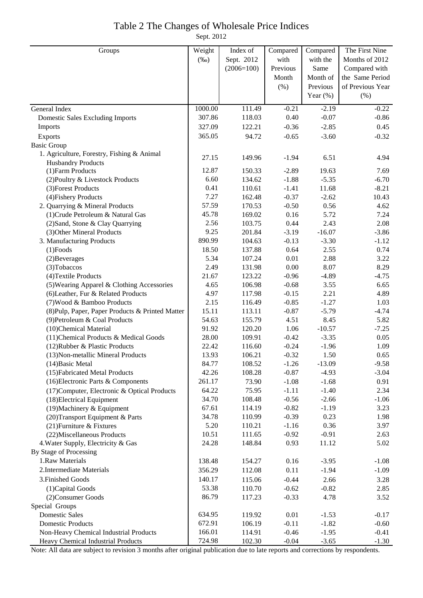## Table 2 The Changes of Wholesale Price Indices

Sept. 2012

| Groups                                           | Weight  | Index of     | Compared | Compared    | The First Nine   |
|--------------------------------------------------|---------|--------------|----------|-------------|------------------|
|                                                  | $(\%0)$ | Sept. 2012   | with     | with the    | Months of 2012   |
|                                                  |         | $(2006=100)$ | Previous | Same        | Compared with    |
|                                                  |         |              | Month    | Month of    | the Same Period  |
|                                                  |         |              | (% )     | Previous    | of Previous Year |
|                                                  |         |              |          | Year $(\%)$ | (% )             |
| General Index                                    | 1000.00 | 111.49       | $-0.21$  | $-2.19$     | $-0.22$          |
| <b>Domestic Sales Excluding Imports</b>          | 307.86  | 118.03       | 0.40     | $-0.07$     | $-0.86$          |
| Imports                                          | 327.09  | 122.21       | $-0.36$  | $-2.85$     | 0.45             |
| Exports                                          | 365.05  | 94.72        | $-0.65$  | $-3.60$     | $-0.32$          |
| <b>Basic Group</b>                               |         |              |          |             |                  |
| 1. Agriculture, Forestry, Fishing & Animal       |         |              |          |             |                  |
| <b>Husbandry Products</b>                        | 27.15   | 149.96       | $-1.94$  | 6.51        | 4.94             |
| (1) Farm Products                                | 12.87   | 150.33       | $-2.89$  | 19.63       | 7.69             |
| (2) Poultry & Livestock Products                 | 6.60    | 134.62       | $-1.88$  | $-5.35$     | $-6.70$          |
| (3) Forest Products                              | 0.41    | 110.61       | $-1.41$  | 11.68       | $-8.21$          |
| (4) Fishery Products                             | 7.27    | 162.48       | $-0.37$  | $-2.62$     | 10.43            |
| 2. Quarrying & Mineral Products                  | 57.59   | 170.53       | $-0.50$  | 0.56        | 4.62             |
| (1) Crude Petroleum & Natural Gas                | 45.78   | 169.02       | 0.16     | 5.72        | 7.24             |
| (2) Sand, Stone & Clay Quarrying                 | 2.56    | 103.75       | 0.44     | 2.43        | 2.08             |
| (3) Other Mineral Products                       | 9.25    | 201.84       | $-3.19$  | $-16.07$    | $-3.86$          |
| 3. Manufacturing Products                        | 890.99  | 104.63       | $-0.13$  | $-3.30$     | $-1.12$          |
| $(1)$ Foods                                      | 18.50   | 137.88       | 0.64     | 2.55        | 0.74             |
| (2) Beverages                                    | 5.34    | 107.24       | $0.01\,$ | 2.88        | 3.22             |
| (3) Tobaccos                                     | 2.49    | 131.98       | 0.00     | 8.07        | 8.29             |
| (4) Textile Products                             | 21.67   | 123.22       | $-0.96$  | $-4.89$     | $-4.75$          |
| (5) Wearing Apparel & Clothing Accessories       | 4.65    | 106.98       | $-0.68$  | 3.55        | 6.65             |
| (6) Leather, Fur & Related Products              | 4.97    | 117.98       | $-0.15$  | 2.21        | 4.89             |
| (7) Wood & Bamboo Products                       | 2.15    | 116.49       | $-0.85$  | $-1.27$     | 1.03             |
| (8) Pulp, Paper, Paper Products & Printed Matter | 15.11   | 113.11       | $-0.87$  | $-5.79$     | $-4.74$          |
| (9) Petroleum & Coal Products                    | 54.63   | 155.79       | 4.51     | 8.45        | 5.82             |
| (10)Chemical Material                            | 91.92   | 120.20       | 1.06     | $-10.57$    | $-7.25$          |
| (11) Chemical Products & Medical Goods           | 28.00   | 109.91       | $-0.42$  | $-3.35$     | 0.05             |
| (12) Rubber & Plastic Products                   | 22.42   | 116.60       | $-0.24$  | $-1.96$     | 1.09             |
| (13) Non-metallic Mineral Products               | 13.93   | 106.21       | $-0.32$  | 1.50        | 0.65             |
| (14) Basic Metal                                 | 84.77   | 108.52       | $-1.26$  | $-13.09$    | $-9.58$          |
| (15) Fabricated Metal Products                   | 42.26   | 108.28       | $-0.87$  | $-4.93$     | $-3.04$          |
| (16) Electronic Parts & Components               | 261.17  | 73.90        | $-1.08$  | $-1.68$     | 0.91             |
| (17) Computer, Electronic & Optical Products     | 64.22   | 75.95        | $-1.11$  | $-1.40$     | 2.34             |
| (18) Electrical Equipment                        | 34.70   | 108.48       | $-0.56$  | $-2.66$     | $-1.06$          |
| (19) Machinery & Equipment                       | 67.61   | 114.19       | $-0.82$  | $-1.19$     | 3.23             |
| (20) Transport Equipment & Parts                 | 34.78   | 110.99       | $-0.39$  | 0.23        | 1.98             |
| (21) Furniture & Fixtures                        | 5.20    | 110.21       | $-1.16$  | 0.36        | 3.97             |
| (22) Miscellaneous Products                      | 10.51   | 111.65       | $-0.92$  | $-0.91$     | 2.63             |
| 4. Water Supply, Electricity & Gas               | 24.28   | 148.84       | 0.93     | 11.12       | 5.02             |
| By Stage of Processing                           |         |              |          |             |                  |
| 1.Raw Materials                                  | 138.48  | 154.27       | 0.16     | $-3.95$     | $-1.08$          |
| 2. Intermediate Materials                        | 356.29  | 112.08       | 0.11     | $-1.94$     | $-1.09$          |
| 3. Finished Goods                                | 140.17  | 115.06       | $-0.44$  | 2.66        | 3.28             |
| (1) Capital Goods                                | 53.38   | 110.70       | $-0.62$  | $-0.82$     | 2.85             |
| (2) Consumer Goods                               | 86.79   | 117.23       | $-0.33$  | 4.78        | 3.52             |
| Special Groups                                   |         |              |          |             |                  |
| <b>Domestic Sales</b>                            | 634.95  | 119.92       | 0.01     | $-1.53$     | $-0.17$          |
| <b>Domestic Products</b>                         | 672.91  | 106.19       | $-0.11$  | $-1.82$     | $-0.60$          |
| Non-Heavy Chemical Industrial Products           | 166.01  | 114.91       | $-0.46$  | $-1.95$     | $-0.41$          |
| Heavy Chemical Industrial Products               | 724.98  | 102.30       | $-0.04$  | $-3.65$     | $-1.30$          |

Note: All data are subject to revision 3 months after original publication due to late reports and corrections by respondents.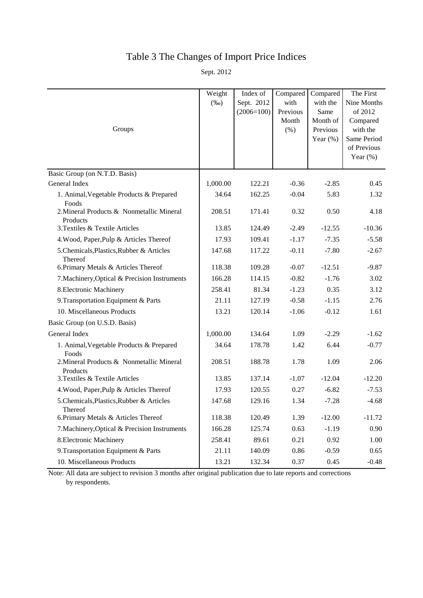# Table 3 The Changes of Import Price Indices

Sept. 2012

|                                                       | Weight<br>$(\%0)$ | Index of<br>Sept. 2012<br>$(2006=100)$ | Compared<br>with<br>Previous | Compared<br>with the<br>Same        | The First<br>Nine Months<br>of 2012                               |
|-------------------------------------------------------|-------------------|----------------------------------------|------------------------------|-------------------------------------|-------------------------------------------------------------------|
| Groups                                                |                   |                                        | Month<br>(% )                | Month of<br>Previous<br>Year $(\%)$ | Compared<br>with the<br>Same Period<br>of Previous<br>Year $(\%)$ |
| Basic Group (on N.T.D. Basis)                         |                   |                                        |                              |                                     |                                                                   |
| General Index                                         | 1,000.00          | 122.21                                 | $-0.36$                      | $-2.85$                             | 0.45                                                              |
| 1. Animal, Vegetable Products & Prepared<br>Foods     | 34.64             | 162.25                                 | $-0.04$                      | 5.83                                | 1.32                                                              |
| 2. Mineral Products & Nonmetallic Mineral<br>Products | 208.51            | 171.41                                 | 0.32                         | 0.50                                | 4.18                                                              |
| 3. Textiles & Textile Articles                        | 13.85             | 124.49                                 | $-2.49$                      | $-12.55$                            | $-10.36$                                                          |
| 4. Wood, Paper, Pulp & Articles Thereof               | 17.93             | 109.41                                 | $-1.17$                      | $-7.35$                             | $-5.58$                                                           |
| 5. Chemicals, Plastics, Rubber & Articles<br>Thereof  | 147.68            | 117.22                                 | $-0.11$                      | $-7.80$                             | $-2.67$                                                           |
| 6. Primary Metals & Articles Thereof                  | 118.38            | 109.28                                 | $-0.07$                      | $-12.51$                            | $-9.87$                                                           |
| 7. Machinery, Optical & Precision Instruments         | 166.28            | 114.15                                 | $-0.82$                      | $-1.76$                             | 3.02                                                              |
| 8. Electronic Machinery                               | 258.41            | 81.34                                  | $-1.23$                      | 0.35                                | 3.12                                                              |
| 9. Transportation Equipment & Parts                   | 21.11             | 127.19                                 | $-0.58$                      | $-1.15$                             | 2.76                                                              |
| 10. Miscellaneous Products                            | 13.21             | 120.14                                 | $-1.06$                      | $-0.12$                             | 1.61                                                              |
| Basic Group (on U.S.D. Basis)                         |                   |                                        |                              |                                     |                                                                   |
| General Index                                         | 1,000.00          | 134.64                                 | 1.09                         | $-2.29$                             | $-1.62$                                                           |
| 1. Animal, Vegetable Products & Prepared<br>Foods     | 34.64             | 178.78                                 | 1.42                         | 6.44                                | $-0.77$                                                           |
| 2. Mineral Products & Nonmetallic Mineral<br>Products | 208.51            | 188.78                                 | 1.78                         | 1.09                                | 2.06                                                              |
| 3. Textiles & Textile Articles                        | 13.85             | 137.14                                 | $-1.07$                      | $-12.04$                            | $-12.20$                                                          |
| 4. Wood, Paper, Pulp & Articles Thereof               | 17.93             | 120.55                                 | 0.27                         | $-6.82$                             | $-7.53$                                                           |
| 5. Chemicals, Plastics, Rubber & Articles<br>Thereof  | 147.68            | 129.16                                 | 1.34                         | $-7.28$                             | $-4.68$                                                           |
| 6. Primary Metals & Articles Thereof                  | 118.38            | 120.49                                 | 1.39                         | $-12.00$                            | $-11.72$                                                          |
| 7. Machinery, Optical & Precision Instruments         | 166.28            | 125.74                                 | 0.63                         | $-1.19$                             | 0.90                                                              |
| 8. Electronic Machinery                               | 258.41            | 89.61                                  | 0.21                         | 0.92                                | 1.00                                                              |
| 9. Transportation Equipment & Parts                   | 21.11             | 140.09                                 | 0.86                         | $-0.59$                             | 0.65                                                              |
| 10. Miscellaneous Products                            | 13.21             | 132.34                                 | 0.37                         | 0.45                                | $-0.48$                                                           |

Note: All data are subject to revision 3 months after original publication due to late reports and corrections by respondents.